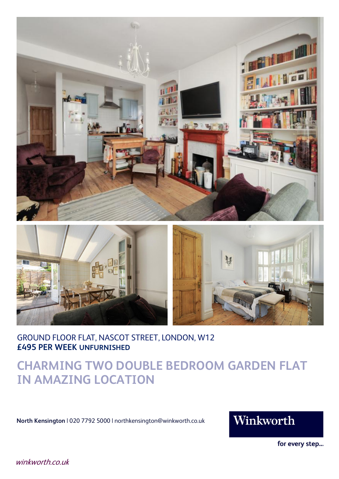



GROUND FLOOR FLAT, NASCOT STREET, LONDON, W12 **£495 PER WEEK UNFURNISHED**

## **CHARMING TWO DOUBLE BEDROOM GARDEN FLAT IN AMAZING LOCATION**

**North Kensington** | 020 7792 5000 | northkensington@winkworth.co.uk

## Winkworth

for every step...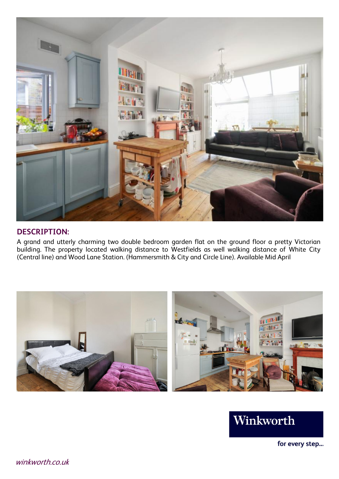

#### **DESCRIPTION:**

A grand and utterly charming two double bedroom garden flat on the ground floor <sup>a</sup> pretty Victorian building. The property located walking distance to Westfields as well walking distance of White City (Central line) and Wood Lane Station. (Hammersmith & City and Circle Line). Available Mid April





for every step...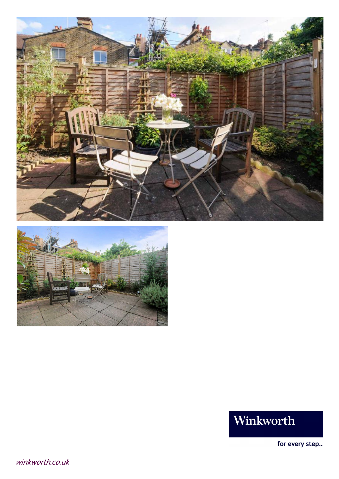



# Winkworth

for every step...